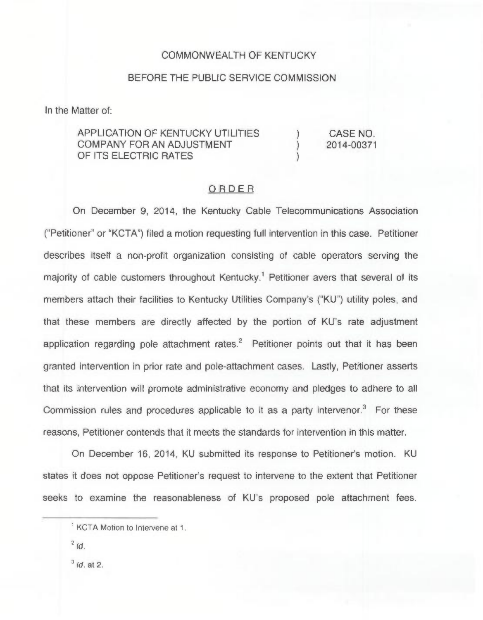## COMMONWEALTH OF KENTUCKY

## BEFORE THE PUBLIC SERVICE COMMISSION

In the Matter of:

APPLICATION OF KENTUCKY UTILITIES COMPANY FOR AN ADJUSTMENT OF ITS ELECTRIC RATES

) CASE NO.<br>) 2014-00371 ) 2014-00371

)

## ORDER

On December 9, 2014, the Kentucky Cable Telecommunications Association ("Petitioner" or "KCTA") filed a motion requesting full intervention in this case. Petitioner describes itself a non-profit organization consisting of cable operators serving the majority of cable customers throughout Kentucky.<sup>1</sup> Petitioner avers that several of its members attach their facilities to Kentucky Utilities Company's ("KU") utility poles, and that these members are directly affected by the portion of KU's rate adjustment application regarding pole attachment rates. $2$  Petitioner points out that it has been granted intervention in prior rate and pole-attachment cases. Lastly, Petitioner asserts that its intervention will promote administrative economy and pledges to adhere to all Commission rules and procedures applicable to it as a party intervenor.<sup>3</sup> For these reasons, Petitioner contends that it meets the standards for intervention in this matter.

On December 16, 2014, KU submitted its response to Petitioner's motion. KU states it does not oppose Petitioner's request to intervene to the extent that Petitioner seeks to examine the reasonableness of KU's proposed pole attachment fees.

 $3$  Id. at 2.

<sup>&</sup>lt;sup>1</sup> KCTA Motion to Intervene at 1.

 $2/d$ .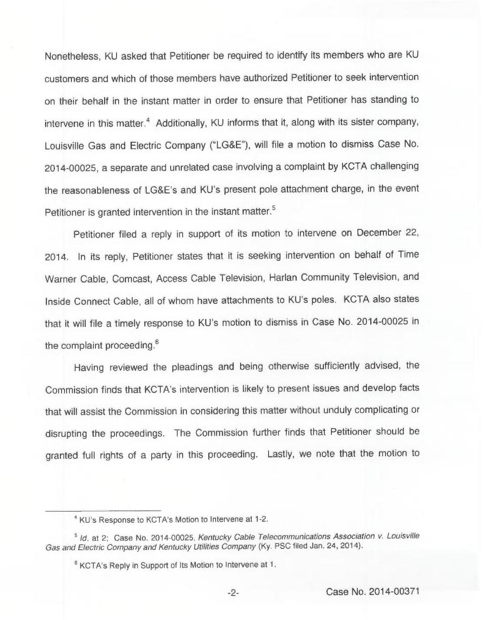Nonetheless, KU asked that Petitioner be required to identify its members who are KU customers and which of those members have authorized Petitioner to seek intervention on their behalf in the instant matter in order to ensure that Petitioner has standing to intervene in this matter.<sup>4</sup> Additionally, KU informs that it, along with its sister company, Louisville Gas and Electric Company ("LG&E"), will file a motion to dismiss Case No. 2014-00025, a separate and unrelated case involving a complaint by KCTA challenging the reasonableness of LG&E's and KU's present pole attachment charge, in the event Petitioner is granted intervention in the instant matter.<sup>5</sup>

filed a reply in support of its motion to intervene on December 22, 2014. In its reply, Petitioner states that it is seeking intervention on behalf of Time Warner Cable, Comcast, Access Cable Television, Harlan Community Television, and Inside Connect Cable, all of whom have attachments to KU's poles. KCTA also states that it will file a timely response to KU's motion to dismiss in Case No. 2014-00025 in the complaint proceeding.<sup>6</sup>

Having reviewed the pleadings and being otherwise sufficiently advised, the Commission finds that KCTA's intervention is likely to present issues and develop facts that will assist the Commission in considering this matter without unduly complicating or disrupting the proceedings. The Commission further finds that Petitioner should be granted full rights of a party in this proceeding. Lastly, we note that the motion to

<sup>&</sup>lt;sup>4</sup> KU's Response to KCTA's Motion to Intervene at 1-2.

<sup>&</sup>lt;sup>5</sup> Id. at 2; Case No. 2014-00025, Kentucky Cable Telecommunications Association v. Louisville Gas and Electric Company and Kentucky Utilities Company (Ky. PSC filed Jan. 24, 2014).

<sup>&</sup>lt;sup>6</sup> KCTA's Reply in Support of Its Motion to Intervene at 1.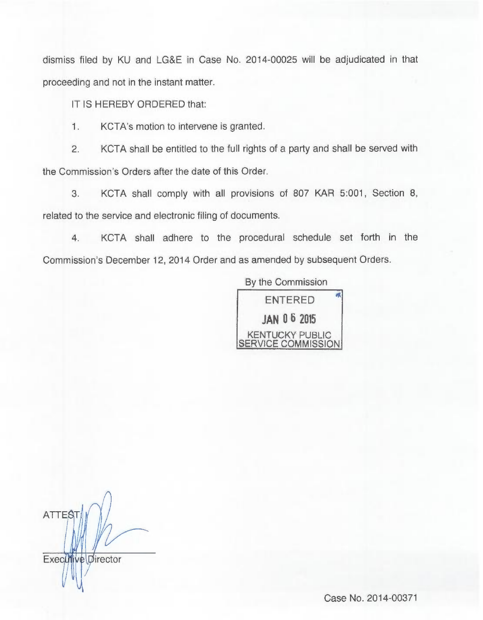dismiss filed by KU and LG8E in Case No. 2014-00025 will be adjudicated in that proceeding and not in the instant matter.

IT IS HEREBY ORDERED that:

1. KCTA's motion to intervene is granted.

2. KCTA shall be entitled to the full rights of a party and shall be served with the Commission's Orders after the date of this Order.

3. KCTA shall comply with all provisions of 807 KAR 5:001, Section 8, related to the service and electronic filing of documents.

4. KCTA shall adhere to the procedural schedule set forth in the Commission's December 12, 2014 Order and as amended by subsequent Orders.

> By the Commission 爪 ENTERED JAN 0 6 2015 KENTUCKY PUBLIC SERVICE COMMISSION

**ATTEST** Executive Director